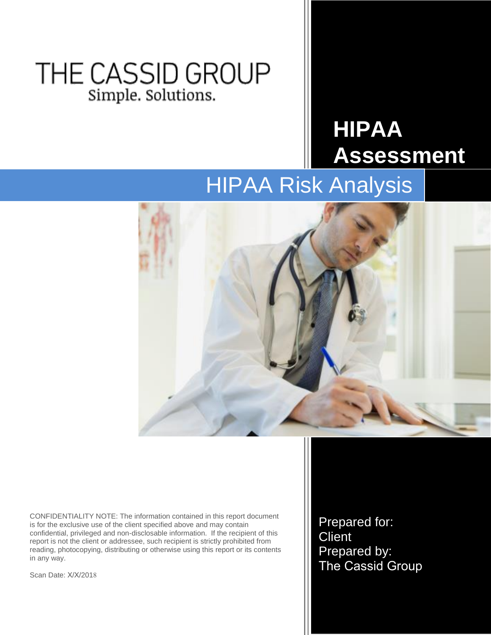## THE CASSID GROUP Simple. Solutions.

# **HIPAA Assessment**

## HIPAA Risk Analysis



CONFIDENTIALITY NOTE: The information contained in this report document is for the exclusive use of the client specified above and may contain confidential, privileged and non-disclosable information. If the recipient of this report is not the client or addressee, such recipient is strictly prohibited from reading, photocopying, distributing or otherwise using this report or its contents in any way.

Scan Date: X/X/2018

Prepared for: **Client** Prepared by: The Cassid Group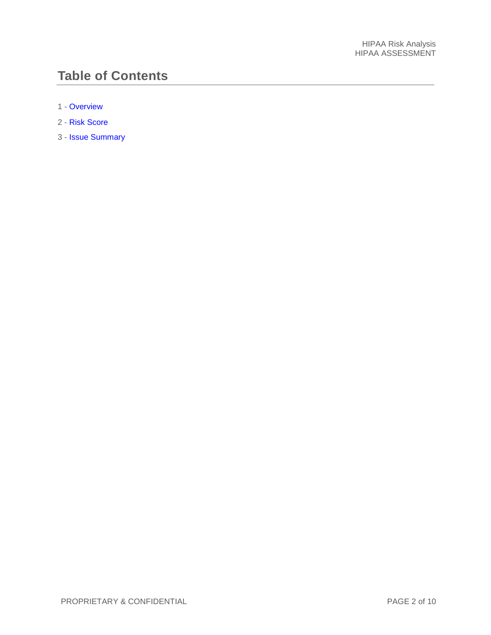## **Table of Contents**

- 1 [Overview](#page-2-0)
- 2 [Risk Score](#page-3-0)
- 3 [Issue Summary](#page-4-0)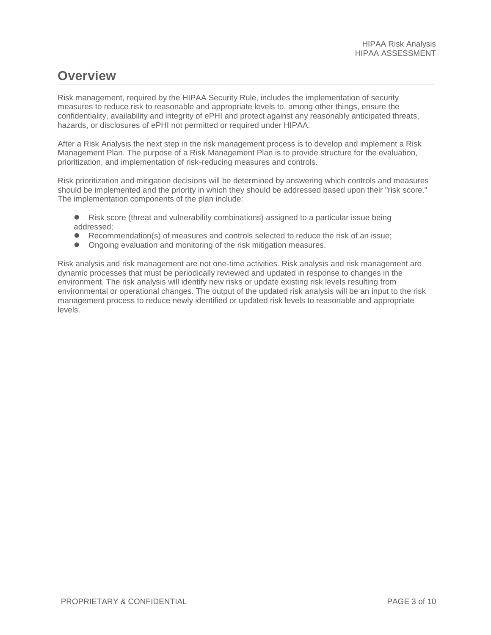### <span id="page-2-0"></span>**Overview**

Risk management, required by the HIPAA Security Rule, includes the implementation of security measures to reduce risk to reasonable and appropriate levels to, among other things, ensure the confidentiality, availability and integrity of ePHI and protect against any reasonably anticipated threats, hazards, or disclosures of ePHI not permitted or required under HIPAA.

After a Risk Analysis the next step in the risk management process is to develop and implement a Risk Management Plan. The purpose of a Risk Management Plan is to provide structure for the evaluation, prioritization, and implementation of risk-reducing measures and controls.

Risk prioritization and mitigation decisions will be determined by answering which controls and measures should be implemented and the priority in which they should be addressed based upon their "risk score." The implementation components of the plan include:

- Risk score (threat and vulnerability combinations) assigned to a particular issue being addressed;
- Recommendation(s) of measures and controls selected to reduce the risk of an issue;
- Ongoing evaluation and monitoring of the risk mitigation measures.

Risk analysis and risk management are not one-time activities. Risk analysis and risk management are dynamic processes that must be periodically reviewed and updated in response to changes in the environment. The risk analysis will identify new risks or update existing risk levels resulting from environmental or operational changes. The output of the updated risk analysis will be an input to the risk management process to reduce newly identified or updated risk levels to reasonable and appropriate levels.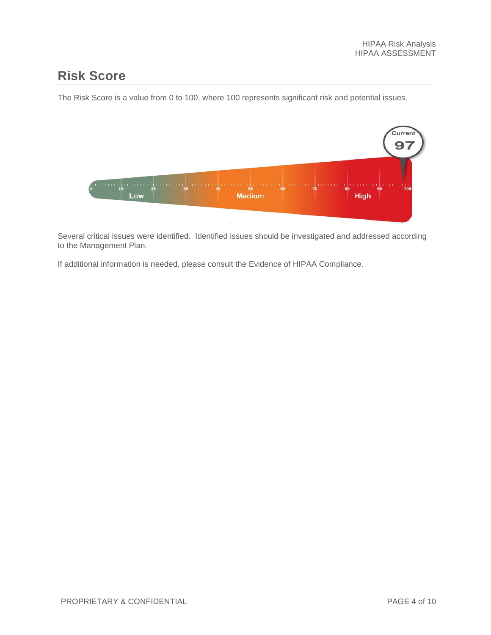### <span id="page-3-0"></span>**Risk Score**

The Risk Score is a value from 0 to 100, where 100 represents significant risk and potential issues.



Several critical issues were identified. Identified issues should be investigated and addressed according to the Management Plan.

If additional information is needed, please consult the Evidence of HIPAA Compliance.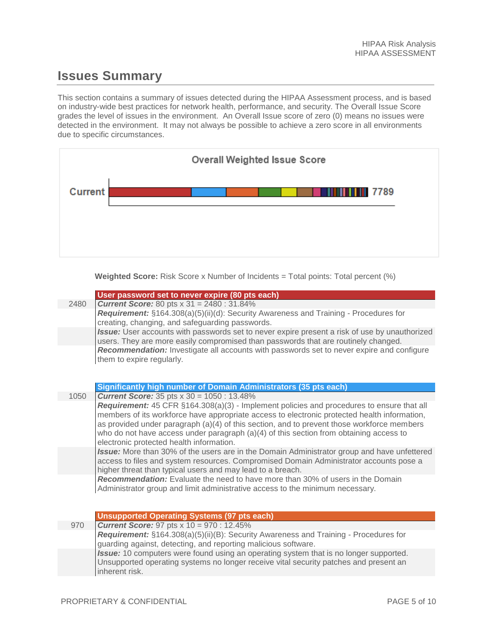## <span id="page-4-0"></span>**Issues Summary**

This section contains a summary of issues detected during the HIPAA Assessment process, and is based on industry-wide best practices for network health, performance, and security. The Overall Issue Score grades the level of issues in the environment. An Overall Issue score of zero (0) means no issues were detected in the environment. It may not always be possible to achieve a zero score in all environments due to specific circumstances.



**Weighted Score:** Risk Score x Number of Incidents = Total points: Total percent (%)

|      | User password set to never expire (80 pts each)                                                                                                                                                                                                                                                                                                                                                                                 |
|------|---------------------------------------------------------------------------------------------------------------------------------------------------------------------------------------------------------------------------------------------------------------------------------------------------------------------------------------------------------------------------------------------------------------------------------|
| 2480 | <b>Current Score:</b> 80 pts $x$ 31 = 2480 : 31.84%                                                                                                                                                                                                                                                                                                                                                                             |
|      | Requirement: §164.308(a)(5)(ii)(d): Security Awareness and Training - Procedures for<br>creating, changing, and safeguarding passwords.                                                                                                                                                                                                                                                                                         |
|      | Issue: User accounts with passwords set to never expire present a risk of use by unauthorized<br>users. They are more easily compromised than passwords that are routinely changed.                                                                                                                                                                                                                                             |
|      | Recommendation: Investigate all accounts with passwords set to never expire and configure<br>them to expire regularly.                                                                                                                                                                                                                                                                                                          |
|      | Significantly high number of Domain Administrators (35 pts each)                                                                                                                                                                                                                                                                                                                                                                |
| 1050 | <b>Current Score:</b> 35 pts $x$ 30 = 1050 : 13.48%                                                                                                                                                                                                                                                                                                                                                                             |
|      | Requirement: 45 CFR §164.308(a)(3) - Implement policies and procedures to ensure that all<br>members of its workforce have appropriate access to electronic protected health information,<br>as provided under paragraph (a)(4) of this section, and to prevent those workforce members<br>who do not have access under paragraph $(a)(4)$ of this section from obtaining access to<br>electronic protected health information. |
|      | Issue: More than 30% of the users are in the Domain Administrator group and have unfettered<br>access to files and system resources. Compromised Domain Administrator accounts pose a<br>higher threat than typical users and may lead to a breach.                                                                                                                                                                             |
|      | Recommendation: Evaluate the need to have more than 30% of users in the Domain<br>Administrator group and limit administrative access to the minimum necessary.                                                                                                                                                                                                                                                                 |
|      | <b>Unsupported Operating Systems (97 pts each)</b>                                                                                                                                                                                                                                                                                                                                                                              |
| 970  | <b>Current Score:</b> 97 pts $x 10 = 970$ : 12.45%                                                                                                                                                                                                                                                                                                                                                                              |
|      | Requirement: §164.308(a)(5)(ii)(B): Security Awareness and Training - Procedures for<br>guarding against, detecting, and reporting malicious software.                                                                                                                                                                                                                                                                          |
|      | Issue: 10 computers were found using an operating system that is no longer supported.<br>Unsupported operating systems no longer receive vital security patches and present an                                                                                                                                                                                                                                                  |

inherent risk.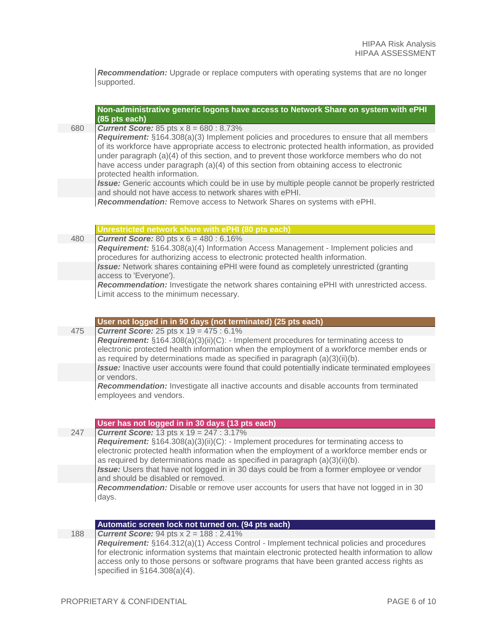*Recommendation:* Upgrade or replace computers with operating systems that are no longer supported.

|     | Non-administrative generic logons have access to Network Share on system with ePHI<br>(85 pts each)                                                                                                                                                                                                                                                                              |
|-----|----------------------------------------------------------------------------------------------------------------------------------------------------------------------------------------------------------------------------------------------------------------------------------------------------------------------------------------------------------------------------------|
| 680 | <b>Current Score:</b> 85 pts $x 8 = 680 : 8.73\%$<br>Requirement: §164.308(a)(3) Implement policies and procedures to ensure that all members                                                                                                                                                                                                                                    |
|     | of its workforce have appropriate access to electronic protected health information, as provided<br>under paragraph $(a)(4)$ of this section, and to prevent those workforce members who do not<br>have access under paragraph (a)(4) of this section from obtaining access to electronic<br>protected health information.                                                       |
|     | Issue: Generic accounts which could be in use by multiple people cannot be properly restricted<br>and should not have access to network shares with ePHI.                                                                                                                                                                                                                        |
|     | Recommendation: Remove access to Network Shares on systems with ePHI.                                                                                                                                                                                                                                                                                                            |
|     | Unrestricted network share with ePHI (80 pts each)                                                                                                                                                                                                                                                                                                                               |
| 480 | <b>Current Score:</b> 80 pts $x 6 = 480 : 6.16\%$                                                                                                                                                                                                                                                                                                                                |
|     | Requirement: §164.308(a)(4) Information Access Management - Implement policies and<br>procedures for authorizing access to electronic protected health information.                                                                                                                                                                                                              |
|     | Issue: Network shares containing ePHI were found as completely unrestricted (granting<br>access to 'Everyone').                                                                                                                                                                                                                                                                  |
|     | Recommendation: Investigate the network shares containing ePHI with unrestricted access.<br>Limit access to the minimum necessary.                                                                                                                                                                                                                                               |
|     | User not logged in in 90 days (not terminated) (25 pts each)                                                                                                                                                                                                                                                                                                                     |
| 475 | <b>Current Score:</b> 25 pts $x$ 19 = 475 : 6.1%                                                                                                                                                                                                                                                                                                                                 |
|     | Requirement: §164.308(a)(3)(ii)(C): - Implement procedures for terminating access to<br>electronic protected health information when the employment of a workforce member ends or<br>as required by determinations made as specified in paragraph (a)(3)(ii)(b).<br>Issue: Inactive user accounts were found that could potentially indicate terminated employees<br>or vendors. |
|     | Recommendation: Investigate all inactive accounts and disable accounts from terminated<br>employees and vendors.                                                                                                                                                                                                                                                                 |
|     | User has not logged in in 30 days (13 pts each)                                                                                                                                                                                                                                                                                                                                  |
| 247 | <b>Current Score:</b> 13 pts $x$ 19 = 247 : 3.17%                                                                                                                                                                                                                                                                                                                                |
|     | <b>Requirement:</b> $\S 164.308(a)(3)(ii)(C)$ : - Implement procedures for terminating access to<br>electronic protected health information when the employment of a workforce member ends or<br>as required by determinations made as specified in paragraph (a)(3)(ii)(b).                                                                                                     |
|     | Issue: Users that have not logged in in 30 days could be from a former employee or vendor<br>and should be disabled or removed.                                                                                                                                                                                                                                                  |
|     | Recommendation: Disable or remove user accounts for users that have not logged in in 30<br>days.                                                                                                                                                                                                                                                                                 |

| 188 | <b>Current Score:</b> 94 pts $x$ 2 = 188 : 2.41%                                                  |
|-----|---------------------------------------------------------------------------------------------------|
|     | <b>Requirement:</b> §164.312(a)(1) Access Control - Implement technical policies and procedures   |
|     | for electronic information systems that maintain electronic protected health information to allow |
|     | access only to those persons or software programs that have been granted access rights as         |
|     | specified in $\S164.308(a)(4)$ .                                                                  |

**Automatic screen lock not turned on. (94 pts each)**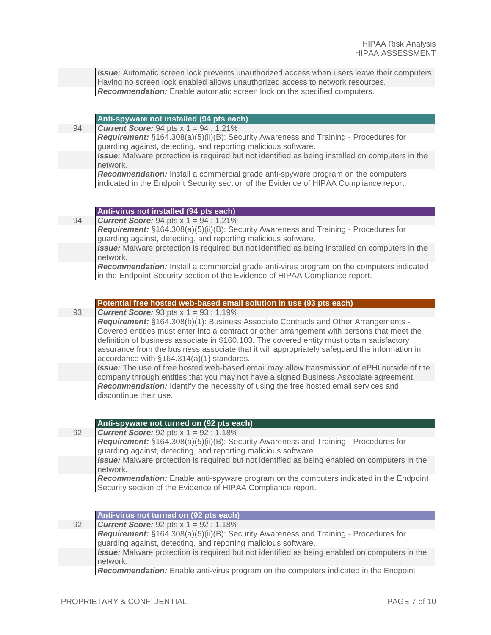**Issue:** Automatic screen lock prevents unauthorized access when users leave their computers. Having no screen lock enabled allows unauthorized access to network resources. *Recommendation:* Enable automatic screen lock on the specified computers.

#### **Anti-spyware not installed (94 pts each)**

94 *Current Score:* 94 pts x 1 = 94 : 1.21%

*Requirement:* §164.308(a)(5)(ii)(B): Security Awareness and Training - Procedures for guarding against, detecting, and reporting malicious software.

*Issue:* Malware protection is required but not identified as being installed on computers in the network.

*Recommendation:* Install a commercial grade anti-spyware program on the computers indicated in the Endpoint Security section of the Evidence of HIPAA Compliance report.

#### **Anti-virus not installed (94 pts each)**

94 *Current Score:* 94 pts x 1 = 94 : 1.21%

*Requirement:* §164.308(a)(5)(ii)(B): Security Awareness and Training - Procedures for guarding against, detecting, and reporting malicious software.

*Issue:* Malware protection is required but not identified as being installed on computers in the network.

*Recommendation:* Install a commercial grade anti-virus program on the computers indicated in the Endpoint Security section of the Evidence of HIPAA Compliance report.

#### **Potential free hosted web-based email solution in use (93 pts each)**

#### 93 *Current Score:* 93 pts x 1 = 93 : 1.19%

*Requirement:* §164.308(b)(1): Business Associate Contracts and Other Arrangements - Covered entities must enter into a contract or other arrangement with persons that meet the definition of business associate in \$160.103. The covered entity must obtain satisfactory assurance from the business associate that it will appropriately safeguard the information in accordance with §164.314(a)(1) standards.

*Issue:* The use of free hosted web-based email may allow transmission of ePHI outside of the company through entities that you may not have a signed Business Associate agreement. *Recommendation:* Identify the necessity of using the free hosted email services and discontinue their use.

#### **Anti-spyware not turned on (92 pts each)**

92 *Current Score:* 92 pts x 1 = 92 : 1.18%

*Requirement:* §164.308(a)(5)(ii)(B): Security Awareness and Training - Procedures for guarding against, detecting, and reporting malicious software.

*Issue:* Malware protection is required but not identified as being enabled on computers in the network.

*Recommendation:* Enable anti-spyware program on the computers indicated in the Endpoint Security section of the Evidence of HIPAA Compliance report.

#### **Anti-virus not turned on (92 pts each)**

92 *Current Score:* 92 pts x 1 = 92 : 1.18% *Requirement:* §164.308(a)(5)(ii)(B): Security Awareness and Training - Procedures for guarding against, detecting, and reporting malicious software. *Issue:* Malware protection is required but not identified as being enabled on computers in the network.

*Recommendation:* Enable anti-virus program on the computers indicated in the Endpoint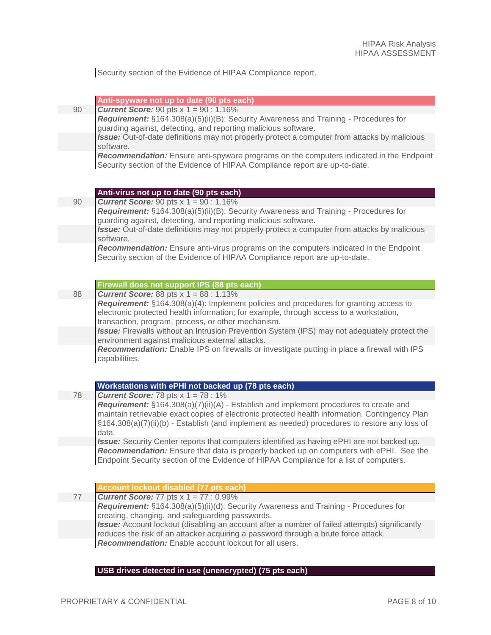Security section of the Evidence of HIPAA Compliance report.

| 90 | Anti-spyware not up to date (90 pts each)                                                                                                              |
|----|--------------------------------------------------------------------------------------------------------------------------------------------------------|
|    | <b>Current Score:</b> 90 pts $x 1 = 90 : 1.16\%$                                                                                                       |
|    | Requirement: §164.308(a)(5)(ii)(B): Security Awareness and Training - Procedures for<br>guarding against, detecting, and reporting malicious software. |
|    |                                                                                                                                                        |
|    | Issue: Out-of-date definitions may not properly protect a computer from attacks by malicious                                                           |
|    | software.                                                                                                                                              |
|    | Recommendation: Ensure anti-spyware programs on the computers indicated in the Endpoint                                                                |
|    | Security section of the Evidence of HIPAA Compliance report are up-to-date.                                                                            |
|    |                                                                                                                                                        |
|    |                                                                                                                                                        |
| 90 | Anti-virus not up to date (90 pts each)<br><b>Current Score:</b> 90 pts $x 1 = 90 : 1.16\%$                                                            |
|    | Requirement: §164.308(a)(5)(ii)(B): Security Awareness and Training - Procedures for                                                                   |
|    | guarding against, detecting, and reporting malicious software.                                                                                         |
|    | Issue: Out-of-date definitions may not properly protect a computer from attacks by malicious                                                           |
|    | software.                                                                                                                                              |
|    | Recommendation: Ensure anti-virus programs on the computers indicated in the Endpoint                                                                  |
|    | Security section of the Evidence of HIPAA Compliance report are up-to-date.                                                                            |
|    |                                                                                                                                                        |
|    |                                                                                                                                                        |
|    | Firewall does not support IPS (88 pts each)                                                                                                            |
| 88 | <b>Current Score:</b> 88 pts $x 1 = 88 : 1.13\%$                                                                                                       |
|    | Requirement: §164.308(a)(4): Implement policies and procedures for granting access to                                                                  |
|    | electronic protected health information; for example, through access to a workstation,                                                                 |
|    | transaction, program, process, or other mechanism.                                                                                                     |
|    | Issue: Firewalls without an Intrusion Prevention System (IPS) may not adequately protect the                                                           |
|    | environment against malicious external attacks.                                                                                                        |
|    | Recommendation: Enable IPS on firewalls or investigate putting in place a firewall with IPS                                                            |
|    | capabilities.                                                                                                                                          |
|    |                                                                                                                                                        |
|    |                                                                                                                                                        |
|    | Workstations with ePHI not backed up (78 pts each)                                                                                                     |
| 78 | <b>Current Score:</b> 78 pts $x 1 = 78$ : 1%                                                                                                           |
|    | <b>Requirement:</b> §164.308(a)(7)(ii)(A) - Establish and implement procedures to create and                                                           |
|    | maintain retrievable exact copies of electronic protected health information. Contingency Plan                                                         |
|    | $\S164.308(a)(7)(ii)(b)$ - Establish (and implement as needed) procedures to restore any loss of                                                       |
|    | data.                                                                                                                                                  |
|    | Issue: Security Center reports that computers identified as having ePHI are not backed up.                                                             |
|    | Recommendation: Ensure that data is properly backed up on computers with ePHI. See the                                                                 |
|    | Endpoint Security section of the Evidence of HIPAA Compliance for a list of computers.                                                                 |
|    |                                                                                                                                                        |
|    |                                                                                                                                                        |
|    | Account lockout disabled (77 pts each)                                                                                                                 |
| 77 | <b>Current Score:</b> 77 pts $x 1 = 77 : 0.99\%$                                                                                                       |
|    | <b>Requirement:</b> §164.308(a)(5)(ii)(d): Security Awareness and Training - Procedures for                                                            |
|    | creating, changing, and safeguarding passwords.                                                                                                        |
|    | <b>Issue:</b> Account lockout (disabling an account after a number of failed attempts) significantly                                                   |
|    | reduces the risk of an attacker acquiring a password through a brute force attack.                                                                     |
|    | <b>Recommendation:</b> Enable account lockout for all users.                                                                                           |

#### **USB drives detected in use (unencrypted) (75 pts each)**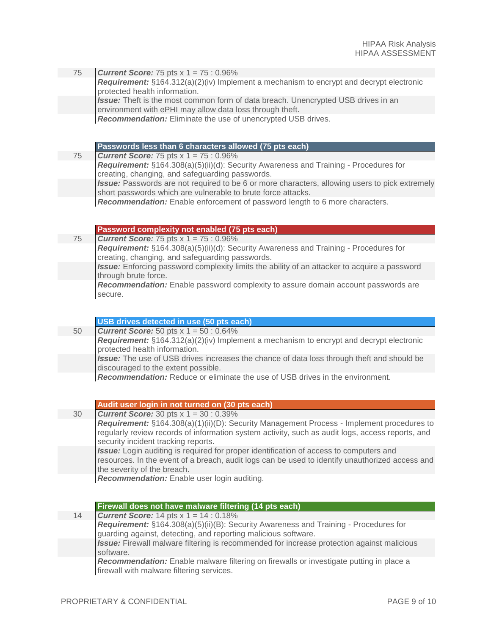75 *Current Score:* 75 pts x 1 = 75 : 0.96% *Requirement:* §164.312(a)(2)(iv) Implement a mechanism to encrypt and decrypt electronic protected health information. *Issue:* Theft is the most common form of data breach. Unencrypted USB drives in an environment with ePHI may allow data loss through theft.

*Recommendation:* Eliminate the use of unencrypted USB drives.

#### **Passwords less than 6 characters allowed (75 pts each)**

75 *Current Score:* 75 pts x 1 = 75 : 0.96% *Requirement:* §164.308(a)(5)(ii)(d): Security Awareness and Training - Procedures for creating, changing, and safeguarding passwords. *Issue:* Passwords are not required to be 6 or more characters, allowing users to pick extremely short passwords which are vulnerable to brute force attacks. *Recommendation:* Enable enforcement of password length to 6 more characters.

#### **Password complexity not enabled (75 pts each)**

75 *Current Score:* 75 pts x 1 = 75 : 0.96% *Requirement:* §164.308(a)(5)(ii)(d): Security Awareness and Training - Procedures for creating, changing, and safeguarding passwords. *Issue:* Enforcing password complexity limits the ability of an attacker to acquire a password through brute force. *Recommendation:* Enable password complexity to assure domain account passwords are secure.

|    | USB drives detected in use (50 pts each)                                                                                                 |
|----|------------------------------------------------------------------------------------------------------------------------------------------|
| 50 | <b>Current Score:</b> 50 pts $x 1 = 50 : 0.64\%$                                                                                         |
|    | Requirement: §164.312(a)(2)(iv) Implement a mechanism to encrypt and decrypt electronic<br>protected health information.                 |
|    | <b>Issue:</b> The use of USB drives increases the chance of data loss through theft and should be<br>discouraged to the extent possible. |
|    | Recommendation: Reduce or eliminate the use of USB drives in the environment.                                                            |

#### **Audit user login in not turned on (30 pts each)**

30 *Current Score:* 30 pts x 1 = 30 : 0.39% *Requirement:* §164.308(a)(1)(ii)(D): Security Management Process - Implement procedures to regularly review records of information system activity, such as audit logs, access reports, and security incident tracking reports. *Issue:* Login auditing is required for proper identification of access to computers and resources. In the event of a breach, audit logs can be used to identify unauthorized access and the severity of the breach. *Recommendation:* Enable user login auditing.

|    | Firewall does not have malware filtering (14 pts each)                                                                                                 |
|----|--------------------------------------------------------------------------------------------------------------------------------------------------------|
| 14 | <b>Current Score:</b> 14 pts $x 1 = 14 : 0.18\%$                                                                                                       |
|    | Requirement: §164.308(a)(5)(ii)(B): Security Awareness and Training - Procedures for<br>guarding against, detecting, and reporting malicious software. |
|    | <b>Issue:</b> Firewall malware filtering is recommended for increase protection against malicious<br>software.                                         |
|    | <b>Recommendation:</b> Enable malware filtering on firewalls or investigate putting in place a<br>firewall with malware filtering services.            |